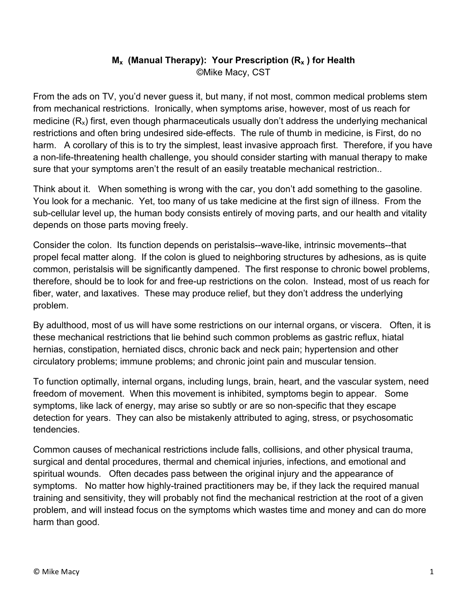## **M<sub>x</sub>** (Manual Therapy): Your Prescription (R<sub>x</sub>) for Health ©Mike Macy, CST

From the ads on TV, you'd never guess it, but many, if not most, common medical problems stem from mechanical restrictions. Ironically, when symptoms arise, however, most of us reach for medicine  $(R_x)$  first, even though pharmaceuticals usually don't address the underlying mechanical restrictions and often bring undesired side-effects. The rule of thumb in medicine, is First, do no harm. A corollary of this is to try the simplest, least invasive approach first. Therefore, if you have a non-life-threatening health challenge, you should consider starting with manual therapy to make sure that your symptoms aren't the result of an easily treatable mechanical restriction..

Think about it. When something is wrong with the car, you don't add something to the gasoline. You look for a mechanic. Yet, too many of us take medicine at the first sign of illness. From the sub-cellular level up, the human body consists entirely of moving parts, and our health and vitality depends on those parts moving freely.

Consider the colon. Its function depends on peristalsis--wave-like, intrinsic movements--that propel fecal matter along. If the colon is glued to neighboring structures by adhesions, as is quite common, peristalsis will be significantly dampened. The first response to chronic bowel problems, therefore, should be to look for and free-up restrictions on the colon. Instead, most of us reach for fiber, water, and laxatives. These may produce relief, but they don't address the underlying problem.

By adulthood, most of us will have some restrictions on our internal organs, or viscera. Often, it is these mechanical restrictions that lie behind such common problems as gastric reflux, hiatal hernias, constipation, herniated discs, chronic back and neck pain; hypertension and other circulatory problems; immune problems; and chronic joint pain and muscular tension.

To function optimally, internal organs, including lungs, brain, heart, and the vascular system, need freedom of movement. When this movement is inhibited, symptoms begin to appear. Some symptoms, like lack of energy, may arise so subtly or are so non-specific that they escape detection for years. They can also be mistakenly attributed to aging, stress, or psychosomatic tendencies.

Common causes of mechanical restrictions include falls, collisions, and other physical trauma, surgical and dental procedures, thermal and chemical injuries, infections, and emotional and spiritual wounds. Often decades pass between the original injury and the appearance of symptoms. No matter how highly-trained practitioners may be, if they lack the required manual training and sensitivity, they will probably not find the mechanical restriction at the root of a given problem, and will instead focus on the symptoms which wastes time and money and can do more harm than good.